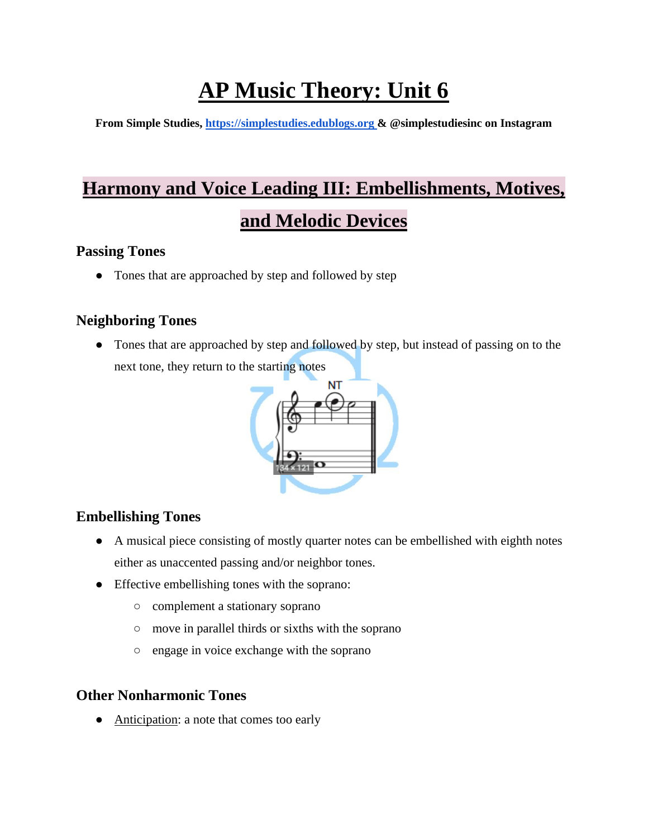# **AP Music Theory: Unit 6**

**From Simple Studies, https://simplestudies.edublogs.org & @simplestudiesinc on Instagram**

## **Harmony and Voice Leading III: Embellishments, Motives, and Melodic Devices**

#### **Passing Tones**

• Tones that are approached by step and followed by step

## **Neighboring Tones**

● Tones that are approached by step and followed by step, but instead of passing on to the next tone, they return to the starting notes



## **Embellishing Tones**

- A musical piece consisting of mostly quarter notes can be embellished with eighth notes either as unaccented passing and/or neighbor tones.
- Effective embellishing tones with the soprano:
	- complement a stationary soprano
	- move in parallel thirds or sixths with the soprano
	- engage in voice exchange with the soprano

#### **Other Nonharmonic Tones**

• Anticipation: a note that comes too early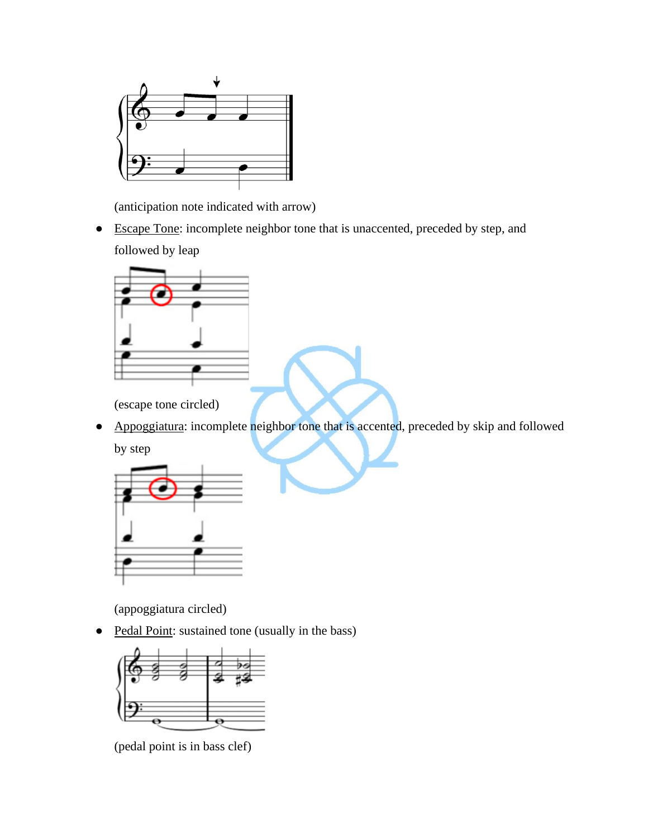

(anticipation note indicated with arrow)

● Escape Tone: incomplete neighbor tone that is unaccented, preceded by step, and followed by leap



(escape tone circled)

• Appoggiatura: incomplete neighbor tone that is accented, preceded by skip and followed by step



(appoggiatura circled)

• Pedal Point: sustained tone (usually in the bass)



(pedal point is in bass clef)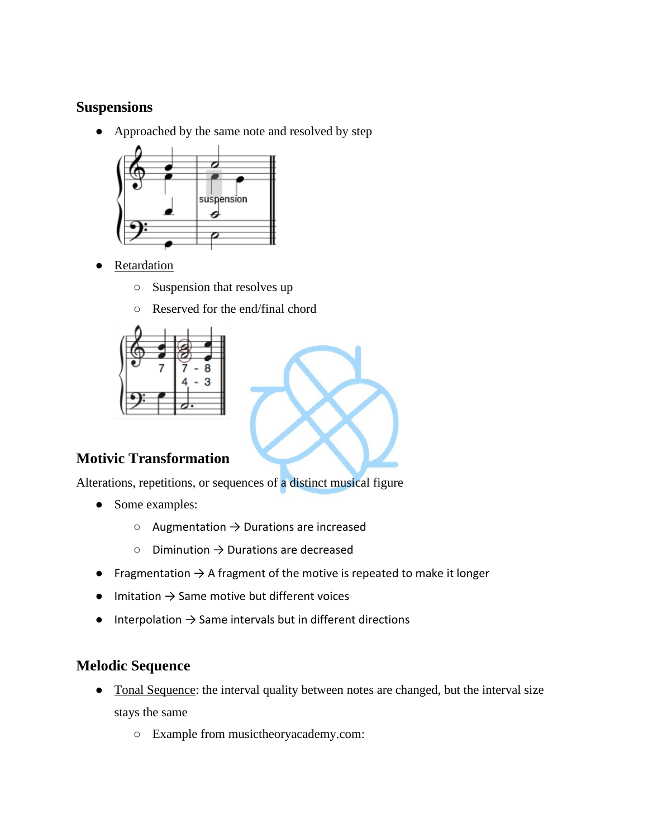#### **Suspensions**

• Approached by the same note and resolved by step



- Retardation
	- Suspension that resolves up
	- Reserved for the end/final chord





## **Motivic Transformation**

Alterations, repetitions, or sequences of a distinct musical figure

- Some examples:
	- $\circ$  Augmentation  $\rightarrow$  Durations are increased
	- $\circ$  Diminution  $\rightarrow$  Durations are decreased
- $\bullet$  Fragmentation  $\rightarrow$  A fragment of the motive is repeated to make it longer
- Imitation  $\rightarrow$  Same motive but different voices
- $\bullet$  Interpolation  $\rightarrow$  Same intervals but in different directions

#### **Melodic Sequence**

- Tonal Sequence: the interval quality between notes are changed, but the interval size stays the same
	- Example from musictheoryacademy.com: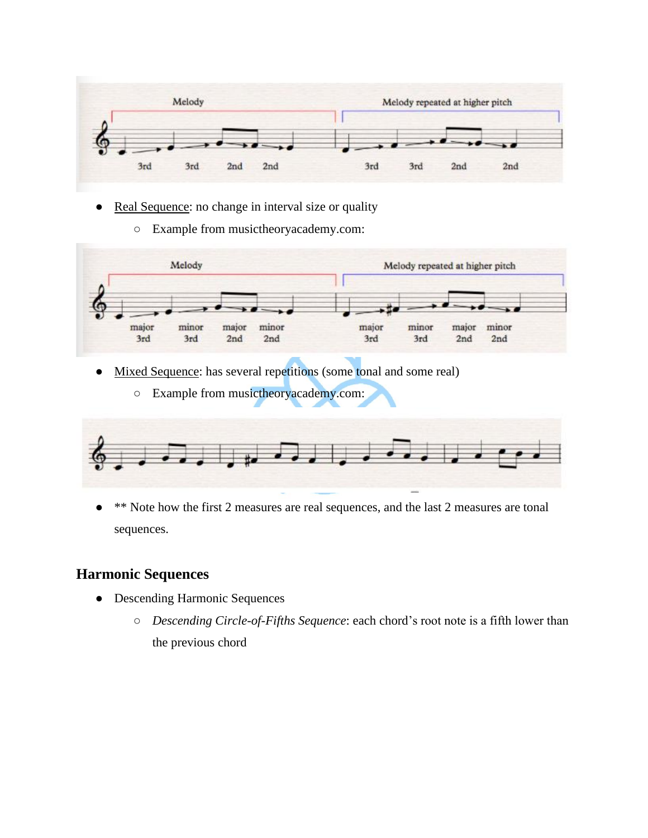

- Real Sequence: no change in interval size or quality
	- Example from musictheoryacademy.com:



- Mixed Sequence: has several repetitions (some tonal and some real)
	- Example from musictheoryacademy.com:



● \*\* Note how the first 2 measures are real sequences, and the last 2 measures are tonal sequences.

## **Harmonic Sequences**

- Descending Harmonic Sequences
	- *Descending Circle-of-Fifths Sequence*: each chord's root note is a fifth lower than the previous chord